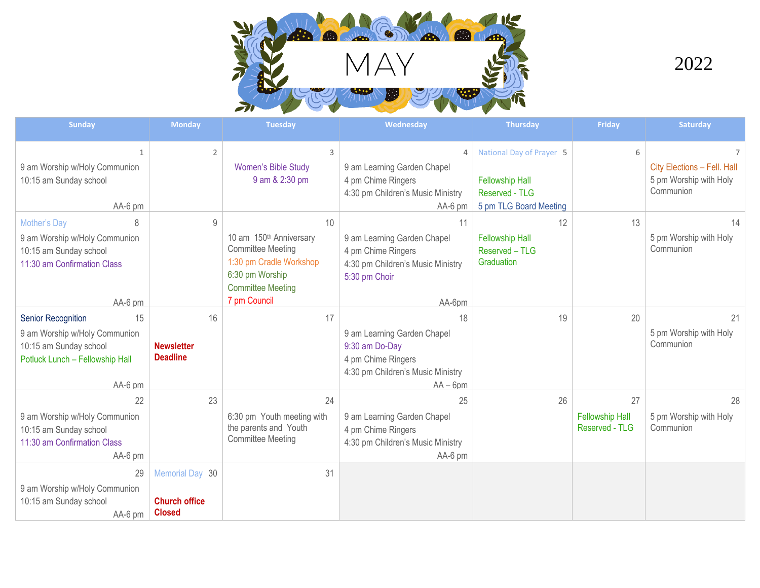

2022

| <b>Sunday</b>                                                                                                                            | <b>Monday</b>                                            | <b>Tuesday</b>                                                                                                                                                  | Wednesday                                                                                                                    | <b>Thursday</b>                                                                                | Friday                                         | Saturday                                                                             |
|------------------------------------------------------------------------------------------------------------------------------------------|----------------------------------------------------------|-----------------------------------------------------------------------------------------------------------------------------------------------------------------|------------------------------------------------------------------------------------------------------------------------------|------------------------------------------------------------------------------------------------|------------------------------------------------|--------------------------------------------------------------------------------------|
| 1<br>9 am Worship w/Holy Communion<br>10:15 am Sunday school<br>AA-6 pm                                                                  | $\overline{2}$                                           | 3<br>Women's Bible Study<br>9 am & 2:30 pm                                                                                                                      | $\overline{4}$<br>9 am Learning Garden Chapel<br>4 pm Chime Ringers<br>4:30 pm Children's Music Ministry<br>$AA-6$ pm        | National Day of Prayer 5<br><b>Fellowship Hall</b><br>Reserved - TLG<br>5 pm TLG Board Meeting | 6                                              | $\overline{7}$<br>City Elections - Fell. Hall<br>5 pm Worship with Holy<br>Communion |
| Mother's Day<br>8<br>9 am Worship w/Holy Communion<br>10:15 am Sunday school<br>11:30 am Confirmation Class<br>AA-6 pm                   | $\overline{9}$                                           | 10<br>10 am 150 <sup>th</sup> Anniversary<br><b>Committee Meeting</b><br>1:30 pm Cradle Workshop<br>6:30 pm Worship<br><b>Committee Meeting</b><br>7 pm Council | 11<br>9 am Learning Garden Chapel<br>4 pm Chime Ringers<br>4:30 pm Children's Music Ministry<br>5:30 pm Choir<br>AA-6pm      | 12<br><b>Fellowship Hall</b><br>Reserved - TLG<br>Graduation                                   | 13                                             | 14<br>5 pm Worship with Holy<br>Communion                                            |
| <b>Senior Recognition</b><br>15<br>9 am Worship w/Holy Communion<br>10:15 am Sunday school<br>Potluck Lunch - Fellowship Hall<br>AA-6 pm | 16<br><b>Newsletter</b><br><b>Deadline</b>               | 17                                                                                                                                                              | 18<br>9 am Learning Garden Chapel<br>9:30 am Do-Day<br>4 pm Chime Ringers<br>4:30 pm Children's Music Ministry<br>$AA - 6pm$ | 19                                                                                             | 20                                             | 21<br>5 pm Worship with Holy<br>Communion                                            |
| 22<br>9 am Worship w/Holy Communion<br>10:15 am Sunday school<br>11:30 am Confirmation Class<br>AA-6 pm                                  | 23                                                       | 24<br>6:30 pm Youth meeting with<br>the parents and Youth<br><b>Committee Meeting</b>                                                                           | 25<br>9 am Learning Garden Chapel<br>4 pm Chime Ringers<br>4:30 pm Children's Music Ministry<br>AA-6 pm                      | 26                                                                                             | 27<br><b>Fellowship Hall</b><br>Reserved - TLG | 28<br>5 pm Worship with Holy<br>Communion                                            |
| 29<br>9 am Worship w/Holy Communion<br>10:15 am Sunday school<br>AA-6 pm                                                                 | Memorial Day 30<br><b>Church office</b><br><b>Closed</b> | 31                                                                                                                                                              |                                                                                                                              |                                                                                                |                                                |                                                                                      |